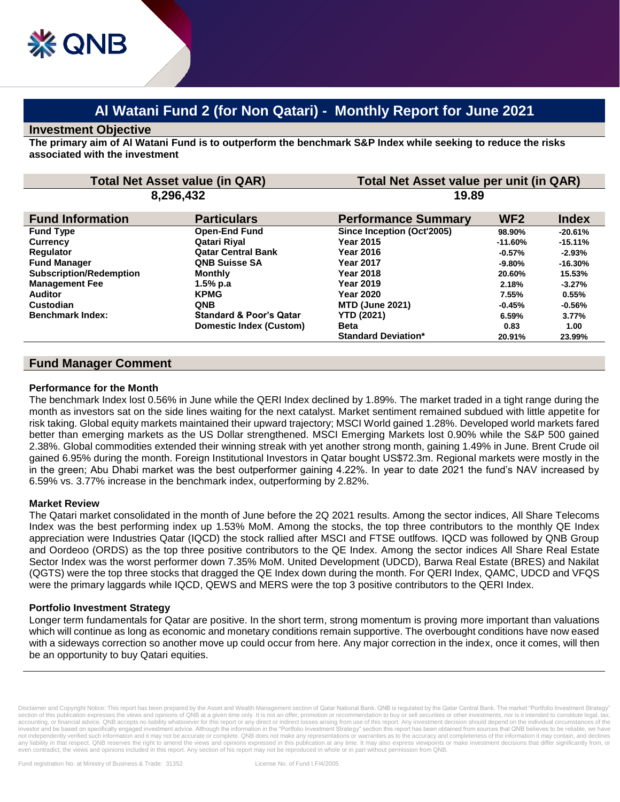# **Al Watani Fund 2 (for Non Qatari) - Monthly Report for June 2021**

#### **Investment Objective**

**The primary aim of Al Watani Fund is to outperform the benchmark S&P Index while seeking to reduce the risks associated with the investment**

| <b>Total Net Asset value (in QAR)</b><br>8,296,432 |                                    | Total Net Asset value per unit (in QAR)<br>19.89 |           |           |
|----------------------------------------------------|------------------------------------|--------------------------------------------------|-----------|-----------|
|                                                    |                                    |                                                  |           |           |
| <b>Fund Type</b>                                   | <b>Open-End Fund</b>               | Since Inception (Oct'2005)                       | 98.90%    | $-20.61%$ |
| <b>Currency</b>                                    | Qatari Rival                       | <b>Year 2015</b>                                 | $-11.60%$ | $-15.11%$ |
| <b>Requlator</b>                                   | <b>Qatar Central Bank</b>          | <b>Year 2016</b>                                 | $-0.57%$  | $-2.93%$  |
| <b>Fund Manager</b>                                | <b>QNB Suisse SA</b>               | <b>Year 2017</b>                                 | $-9.80\%$ | $-16.30%$ |
| <b>Subscription/Redemption</b>                     | <b>Monthly</b>                     | <b>Year 2018</b>                                 | 20.60%    | 15.53%    |
| <b>Management Fee</b>                              | 1.5% p.a                           | <b>Year 2019</b>                                 | 2.18%     | $-3.27%$  |
| <b>Auditor</b>                                     | <b>KPMG</b>                        | <b>Year 2020</b>                                 | 7.55%     | 0.55%     |
| Custodian                                          | <b>QNB</b>                         | <b>MTD (June 2021)</b>                           | $-0.45%$  | $-0.56%$  |
| <b>Benchmark Index:</b>                            | <b>Standard &amp; Poor's Qatar</b> | <b>YTD (2021)</b>                                | 6.59%     | 3.77%     |
|                                                    | Domestic Index (Custom)            | <b>Beta</b>                                      | 0.83      | 1.00      |
|                                                    |                                    | <b>Standard Deviation*</b>                       | 20.91%    | 23.99%    |

## **Fund Manager Comment**

#### **Performance for the Month**

The benchmark Index lost 0.56% in June while the QERI Index declined by 1.89%. The market traded in a tight range during the month as investors sat on the side lines waiting for the next catalyst. Market sentiment remained subdued with little appetite for risk taking. Global equity markets maintained their upward trajectory; MSCI World gained 1.28%. Developed world markets fared better than emerging markets as the US Dollar strengthened. MSCI Emerging Markets lost 0.90% while the S&P 500 gained 2.38%. Global commodities extended their winning streak with yet another strong month, gaining 1.49% in June. Brent Crude oil gained 6.95% during the month. Foreign Institutional Investors in Qatar bought US\$72.3m. Regional markets were mostly in the in the green; Abu Dhabi market was the best outperformer gaining 4.22%. In year to date 2021 the fund's NAV increased by 6.59% vs. 3.77% increase in the benchmark index, outperforming by 2.82%.

#### **Market Review**

The Qatari market consolidated in the month of June before the 2Q 2021 results. Among the sector indices, All Share Telecoms Index was the best performing index up 1.53% MoM. Among the stocks, the top three contributors to the monthly QE Index appreciation were Industries Qatar (IQCD) the stock rallied after MSCI and FTSE outlfows. IQCD was followed by QNB Group and Oordeoo (ORDS) as the top three positive contributors to the QE Index. Among the sector indices All Share Real Estate Sector Index was the worst performer down 7.35% MoM. United Development (UDCD), Barwa Real Estate (BRES) and Nakilat (QGTS) were the top three stocks that dragged the QE Index down during the month. For QERI Index, QAMC, UDCD and VFQS were the primary laggards while IQCD, QEWS and MERS were the top 3 positive contributors to the QERI Index.

### **Portfolio Investment Strategy**

Longer term fundamentals for Qatar are positive. In the short term, strong momentum is proving more important than valuations which will continue as long as economic and monetary conditions remain supportive. The overbought conditions have now eased with a sideways correction so another move up could occur from here. Any major correction in the index, once it comes, will then be an opportunity to buy Qatari equities.

Disclaimer and Copyright Notice: This report has been prepared by the Asset and Wealth Management section of Qatar National Bank. QNB is regulated by the Qatar Central Bank. The market "Portfolio Investment Strategy" section of this publication expresses the views and opinions of QNB at a given time only. It is not an offer, promotion or recommendation to buy or sell securities or other investments, nor is it intended to constitute leg accounting, or financial advice. QNB accepts no liability whatsoever for this report or any direct or indirect losses arising from use of this report. Any investment decision should depend on the individual circumstances o investor and be based on specifically engaged investment advice. Although the information in the "Portfolio Investment Strategy" section this report has been obtained from sources that QNB believes to be reliable, we have not independently verified such information and it may not be accurate or complete. QNB does not make any representations or warranties as to the accuracy and completeness of the information it may contain, and declines<br>an even contradict, the views and opinions included in this report. Any section of his report may not be reproduced in whole or in part without permission from QNB.